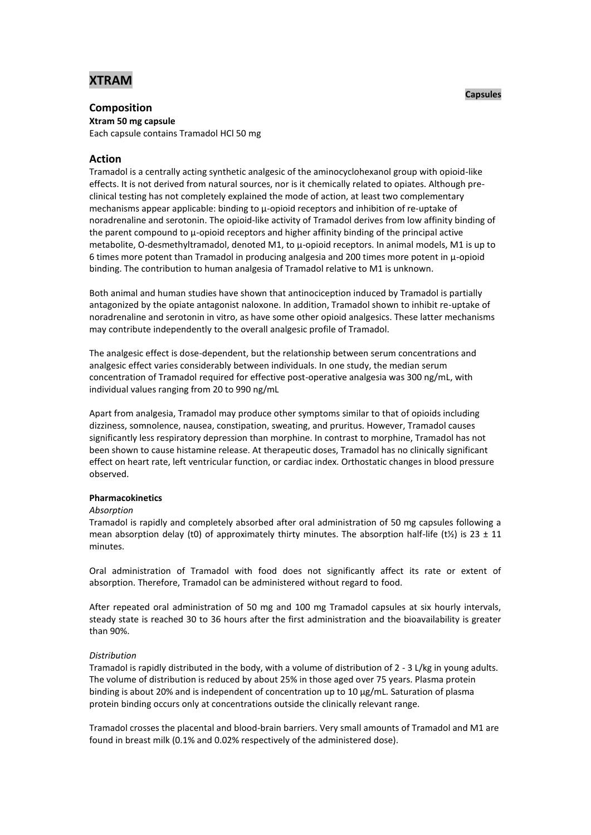# **XTRAM**

# **Composition**

**Xtram 50 mg capsule** Each capsule contains Tramadol HCl 50 mg

# **Action**

Tramadol is a centrally acting synthetic analgesic of the aminocyclohexanol group with opioid-like effects. It is not derived from natural sources, nor is it chemically related to opiates. Although preclinical testing has not completely explained the mode of action, at least two complementary mechanisms appear applicable: binding to µ-opioid receptors and inhibition of re-uptake of noradrenaline and serotonin. The opioid-like activity of Tramadol derives from low affinity binding of the parent compound to  $\mu$ -opioid receptors and higher affinity binding of the principal active metabolite, O-desmethyltramadol, denoted M1, to  $\mu$ -opioid receptors. In animal models, M1 is up to 6 times more potent than Tramadol in producing analgesia and 200 times more potent in µ-opioid binding. The contribution to human analgesia of Tramadol relative to M1 is unknown.

Both animal and human studies have shown that antinociception induced by Tramadol is partially antagonized by the opiate antagonist naloxone. In addition, Tramadol shown to inhibit re-uptake of noradrenaline and serotonin in vitro, as have some other opioid analgesics. These latter mechanisms may contribute independently to the overall analgesic profile of Tramadol.

The analgesic effect is dose-dependent, but the relationship between serum concentrations and analgesic effect varies considerably between individuals. In one study, the median serum concentration of Tramadol required for effective post-operative analgesia was 300 ng/mL, with individual values ranging from 20 to 990 ng/mL

Apart from analgesia, Tramadol may produce other symptoms similar to that of opioids including dizziness, somnolence, nausea, constipation, sweating, and pruritus. However, Tramadol causes significantly less respiratory depression than morphine. In contrast to morphine, Tramadol has not been shown to cause histamine release. At therapeutic doses, Tramadol has no clinically significant effect on heart rate, left ventricular function, or cardiac index. Orthostatic changes in blood pressure observed.

# **Pharmacokinetics**

#### *Absorption*

Tramadol is rapidly and completely absorbed after oral administration of 50 mg capsules following a mean absorption delay (t0) of approximately thirty minutes. The absorption half-life (t $\frac{1}{2}$ ) is 23 ± 11 minutes.

Oral administration of Tramadol with food does not significantly affect its rate or extent of absorption. Therefore, Tramadol can be administered without regard to food.

After repeated oral administration of 50 mg and 100 mg Tramadol capsules at six hourly intervals, steady state is reached 30 to 36 hours after the first administration and the bioavailability is greater than 90%.

# *Distribution*

Tramadol is rapidly distributed in the body, with a volume of distribution of 2 - 3 L/kg in young adults. The volume of distribution is reduced by about 25% in those aged over 75 years. Plasma protein binding is about 20% and is independent of concentration up to 10 μg/mL. Saturation of plasma protein binding occurs only at concentrations outside the clinically relevant range.

Tramadol crosses the placental and blood-brain barriers. Very small amounts of Tramadol and M1 are found in breast milk (0.1% and 0.02% respectively of the administered dose).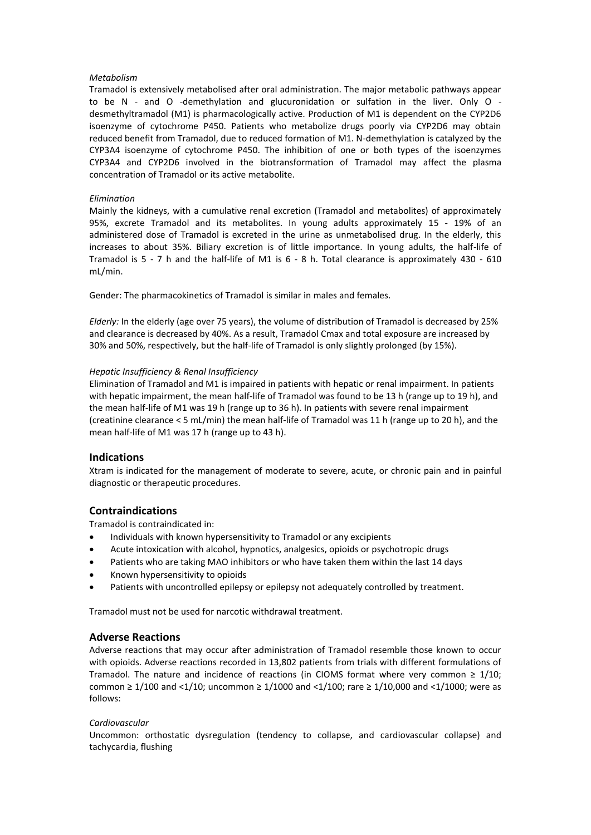# *Metabolism*

Tramadol is extensively metabolised after oral administration. The major metabolic pathways appear to be N - and O -demethylation and glucuronidation or sulfation in the liver. Only O desmethyltramadol (M1) is pharmacologically active. Production of M1 is dependent on the CYP2D6 isoenzyme of cytochrome P450. Patients who metabolize drugs poorly via CYP2D6 may obtain reduced benefit from Tramadol, due to reduced formation of M1. N-demethylation is catalyzed by the CYP3A4 isoenzyme of cytochrome P450. The inhibition of one or both types of the isoenzymes CYP3A4 and CYP2D6 involved in the biotransformation of Tramadol may affect the plasma concentration of Tramadol or its active metabolite.

## *Elimination*

Mainly the kidneys, with a cumulative renal excretion (Tramadol and metabolites) of approximately 95%, excrete Tramadol and its metabolites. In young adults approximately 15 - 19% of an administered dose of Tramadol is excreted in the urine as unmetabolised drug. In the elderly, this increases to about 35%. Biliary excretion is of little importance. In young adults, the half-life of Tramadol is 5 - 7 h and the half-life of M1 is 6 - 8 h. Total clearance is approximately 430 - 610 mL/min.

Gender: The pharmacokinetics of Tramadol is similar in males and females.

*Elderly:* In the elderly (age over 75 years), the volume of distribution of Tramadol is decreased by 25% and clearance is decreased by 40%. As a result, Tramadol Cmax and total exposure are increased by 30% and 50%, respectively, but the half-life of Tramadol is only slightly prolonged (by 15%).

# *Hepatic Insufficiency & Renal Insufficiency*

Elimination of Tramadol and M1 is impaired in patients with hepatic or renal impairment. In patients with hepatic impairment, the mean half-life of Tramadol was found to be 13 h (range up to 19 h), and the mean half-life of M1 was 19 h (range up to 36 h). In patients with severe renal impairment (creatinine clearance < 5 mL/min) the mean half-life of Tramadol was 11 h (range up to 20 h), and the mean half-life of M1 was 17 h (range up to 43 h).

# **Indications**

Xtram is indicated for the management of moderate to severe, acute, or chronic pain and in painful diagnostic or therapeutic procedures.

# **Contraindications**

Tramadol is contraindicated in:

- Individuals with known hypersensitivity to Tramadol or any excipients
- Acute intoxication with alcohol, hypnotics, analgesics, opioids or psychotropic drugs
- Patients who are taking MAO inhibitors or who have taken them within the last 14 days
- Known hypersensitivity to opioids
- Patients with uncontrolled epilepsy or epilepsy not adequately controlled by treatment.

Tramadol must not be used for narcotic withdrawal treatment.

# **Adverse Reactions**

Adverse reactions that may occur after administration of Tramadol resemble those known to occur with opioids. Adverse reactions recorded in 13,802 patients from trials with different formulations of Tramadol. The nature and incidence of reactions (in CIOMS format where very common  $\geq 1/10$ ; common ≥ 1/100 and <1/10; uncommon ≥ 1/1000 and <1/100; rare ≥ 1/10,000 and <1/1000; were as follows:

#### *Cardiovascular*

Uncommon: orthostatic dysregulation (tendency to collapse, and cardiovascular collapse) and tachycardia, flushing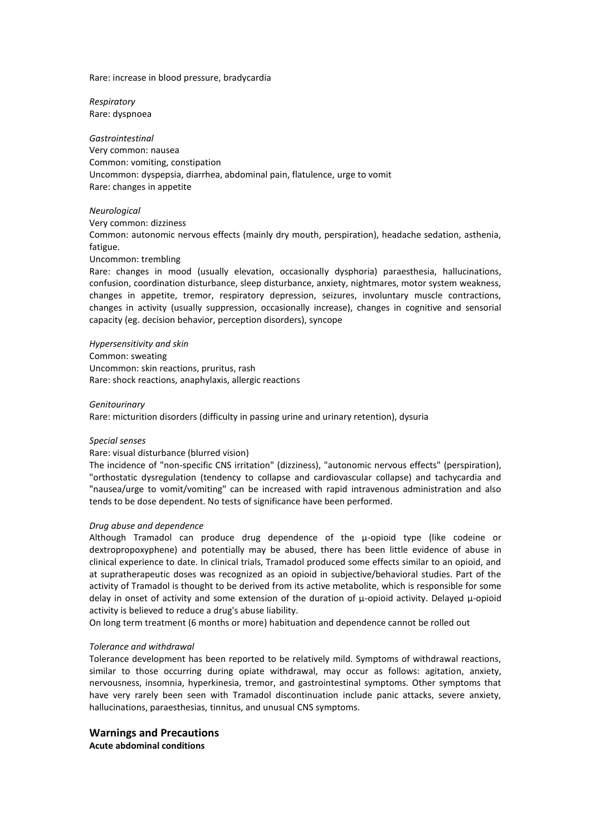Rare: increase in blood pressure, bradycardia

*Respiratory* Rare: dyspnoea

*Gastrointestinal* Very common: nausea Common: vomiting, constipation Uncommon: dyspepsia, diarrhea, abdominal pain, flatulence, urge to vomit Rare: changes in appetite

# *Neurological*

Very common: dizziness Common: autonomic nervous effects (mainly dry mouth, perspiration), headache sedation, asthenia, fatigue. Uncommon: trembling

Rare: changes in mood (usually elevation, occasionally dysphoria) paraesthesia, hallucinations, confusion, coordination disturbance, sleep disturbance, anxiety, nightmares, motor system weakness, changes in appetite, tremor, respiratory depression, seizures, involuntary muscle contractions, changes in activity (usually suppression, occasionally increase), changes in cognitive and sensorial capacity (eg. decision behavior, perception disorders), syncope

*Hypersensitivity and skin* Common: sweating Uncommon: skin reactions, pruritus, rash Rare: shock reactions, anaphylaxis, allergic reactions

#### *Genitourinary*

Rare: micturition disorders (difficulty in passing urine and urinary retention), dysuria

#### *Special senses*

#### Rare: visual disturbance (blurred vision)

The incidence of "non-specific CNS irritation" (dizziness), "autonomic nervous effects" (perspiration), "orthostatic dysregulation (tendency to collapse and cardiovascular collapse) and tachycardia and "nausea/urge to vomit/vomiting" can be increased with rapid intravenous administration and also tends to be dose dependent. No tests of significance have been performed.

#### *Drug abuse and dependence*

Although Tramadol can produce drug dependence of the µ-opioid type (like codeine or dextropropoxyphene) and potentially may be abused, there has been little evidence of abuse in clinical experience to date. In clinical trials, Tramadol produced some effects similar to an opioid, and at supratherapeutic doses was recognized as an opioid in subjective/behavioral studies. Part of the activity of Tramadol is thought to be derived from its active metabolite, which is responsible for some delay in onset of activity and some extension of the duration of  $\mu$ -opioid activity. Delayed  $\mu$ -opioid activity is believed to reduce a drug's abuse liability.

On long term treatment (6 months or more) habituation and dependence cannot be rolled out

# *Tolerance and withdrawal*

Tolerance development has been reported to be relatively mild. Symptoms of withdrawal reactions, similar to those occurring during opiate withdrawal, may occur as follows: agitation, anxiety, nervousness, insomnia, hyperkinesia, tremor, and gastrointestinal symptoms. Other symptoms that have very rarely been seen with Tramadol discontinuation include panic attacks, severe anxiety, hallucinations, paraesthesias, tinnitus, and unusual CNS symptoms.

# **Warnings and Precautions**

**Acute abdominal conditions**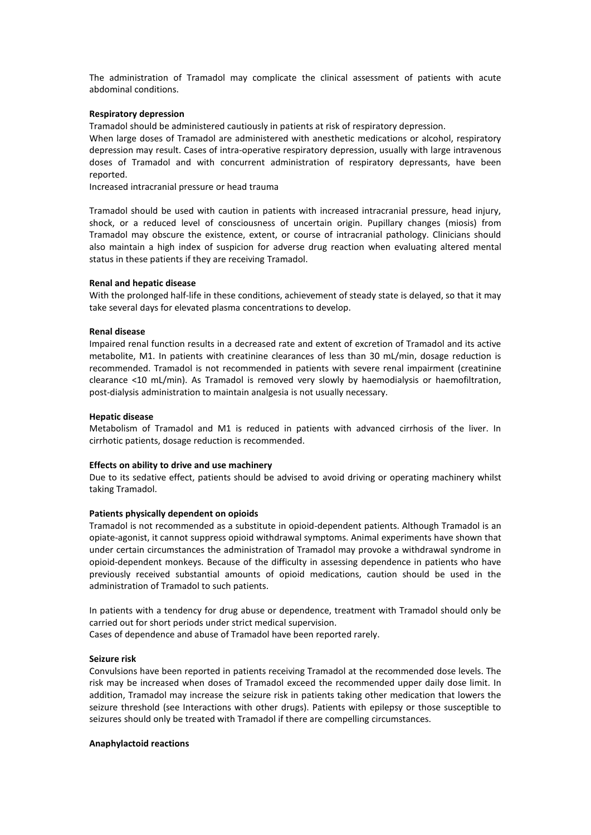The administration of Tramadol may complicate the clinical assessment of patients with acute abdominal conditions.

#### **Respiratory depression**

Tramadol should be administered cautiously in patients at risk of respiratory depression.

When large doses of Tramadol are administered with anesthetic medications or alcohol, respiratory depression may result. Cases of intra-operative respiratory depression, usually with large intravenous doses of Tramadol and with concurrent administration of respiratory depressants, have been reported.

Increased intracranial pressure or head trauma

Tramadol should be used with caution in patients with increased intracranial pressure, head injury, shock, or a reduced level of consciousness of uncertain origin. Pupillary changes (miosis) from Tramadol may obscure the existence, extent, or course of intracranial pathology. Clinicians should also maintain a high index of suspicion for adverse drug reaction when evaluating altered mental status in these patients if they are receiving Tramadol.

#### **Renal and hepatic disease**

With the prolonged half-life in these conditions, achievement of steady state is delayed, so that it may take several days for elevated plasma concentrations to develop.

#### **Renal disease**

Impaired renal function results in a decreased rate and extent of excretion of Tramadol and its active metabolite, M1. In patients with creatinine clearances of less than 30 mL/min, dosage reduction is recommended. Tramadol is not recommended in patients with severe renal impairment (creatinine clearance <10 mL/min). As Tramadol is removed very slowly by haemodialysis or haemofiltration, post-dialysis administration to maintain analgesia is not usually necessary.

#### **Hepatic disease**

Metabolism of Tramadol and M1 is reduced in patients with advanced cirrhosis of the liver. In cirrhotic patients, dosage reduction is recommended.

#### **Effects on ability to drive and use machinery**

Due to its sedative effect, patients should be advised to avoid driving or operating machinery whilst taking Tramadol.

#### **Patients physically dependent on opioids**

Tramadol is not recommended as a substitute in opioid-dependent patients. Although Tramadol is an opiate-agonist, it cannot suppress opioid withdrawal symptoms. Animal experiments have shown that under certain circumstances the administration of Tramadol may provoke a withdrawal syndrome in opioid-dependent monkeys. Because of the difficulty in assessing dependence in patients who have previously received substantial amounts of opioid medications, caution should be used in the administration of Tramadol to such patients.

In patients with a tendency for drug abuse or dependence, treatment with Tramadol should only be carried out for short periods under strict medical supervision.

Cases of dependence and abuse of Tramadol have been reported rarely.

#### **Seizure risk**

Convulsions have been reported in patients receiving Tramadol at the recommended dose levels. The risk may be increased when doses of Tramadol exceed the recommended upper daily dose limit. In addition, Tramadol may increase the seizure risk in patients taking other medication that lowers the seizure threshold (see Interactions with other drugs). Patients with epilepsy or those susceptible to seizures should only be treated with Tramadol if there are compelling circumstances.

#### **Anaphylactoid reactions**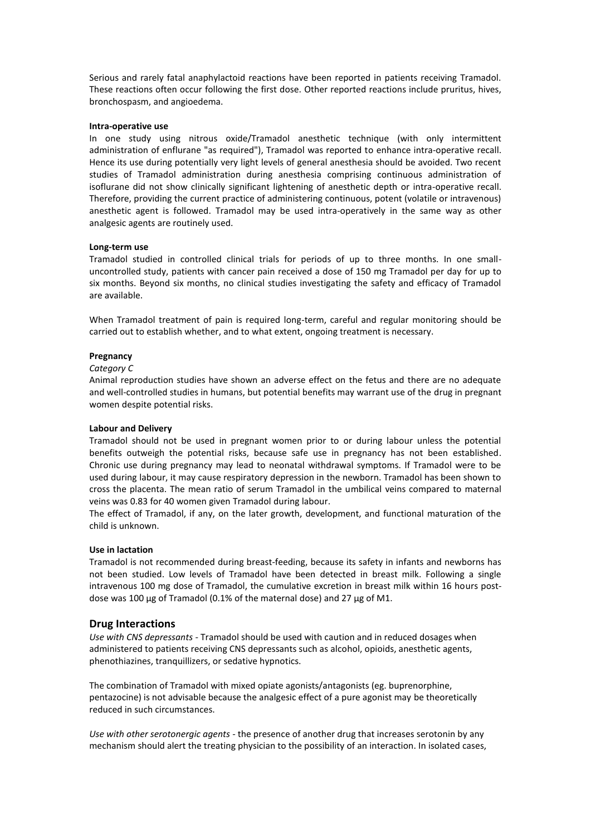Serious and rarely fatal anaphylactoid reactions have been reported in patients receiving Tramadol. These reactions often occur following the first dose. Other reported reactions include pruritus, hives, bronchospasm, and angioedema.

#### **Intra-operative use**

In one study using nitrous oxide/Tramadol anesthetic technique (with only intermittent administration of enflurane "as required"), Tramadol was reported to enhance intra-operative recall. Hence its use during potentially very light levels of general anesthesia should be avoided. Two recent studies of Tramadol administration during anesthesia comprising continuous administration of isoflurane did not show clinically significant lightening of anesthetic depth or intra-operative recall. Therefore, providing the current practice of administering continuous, potent (volatile or intravenous) anesthetic agent is followed. Tramadol may be used intra-operatively in the same way as other analgesic agents are routinely used.

#### **Long-term use**

Tramadol studied in controlled clinical trials for periods of up to three months. In one smalluncontrolled study, patients with cancer pain received a dose of 150 mg Tramadol per day for up to six months. Beyond six months, no clinical studies investigating the safety and efficacy of Tramadol are available.

When Tramadol treatment of pain is required long-term, careful and regular monitoring should be carried out to establish whether, and to what extent, ongoing treatment is necessary.

# **Pregnancy**

#### *Category C*

Animal reproduction studies have shown an adverse effect on the fetus and there are no adequate and well-controlled studies in humans, but potential benefits may warrant use of the drug in pregnant women despite potential risks.

## **Labour and Delivery**

Tramadol should not be used in pregnant women prior to or during labour unless the potential benefits outweigh the potential risks, because safe use in pregnancy has not been established. Chronic use during pregnancy may lead to neonatal withdrawal symptoms. If Tramadol were to be used during labour, it may cause respiratory depression in the newborn. Tramadol has been shown to cross the placenta. The mean ratio of serum Tramadol in the umbilical veins compared to maternal veins was 0.83 for 40 women given Tramadol during labour.

The effect of Tramadol, if any, on the later growth, development, and functional maturation of the child is unknown.

#### **Use in lactation**

Tramadol is not recommended during breast-feeding, because its safety in infants and newborns has not been studied. Low levels of Tramadol have been detected in breast milk. Following a single intravenous 100 mg dose of Tramadol, the cumulative excretion in breast milk within 16 hours postdose was 100 μg of Tramadol (0.1% of the maternal dose) and 27 μg of M1.

## **Drug Interactions**

*Use with CNS depressants -* Tramadol should be used with caution and in reduced dosages when administered to patients receiving CNS depressants such as alcohol, opioids, anesthetic agents, phenothiazines, tranquillizers, or sedative hypnotics.

The combination of Tramadol with mixed opiate agonists/antagonists (eg. buprenorphine, pentazocine) is not advisable because the analgesic effect of a pure agonist may be theoretically reduced in such circumstances.

*Use with other serotonergic agents -* the presence of another drug that increases serotonin by any mechanism should alert the treating physician to the possibility of an interaction. In isolated cases,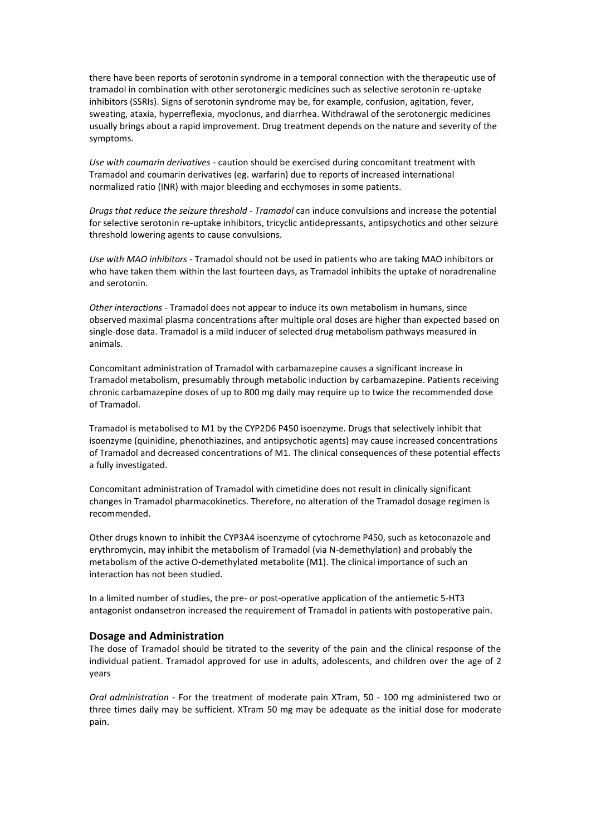there have been reports of serotonin syndrome in a temporal connection with the therapeutic use of tramadol in combination with other serotonergic medicines such as selective serotonin re-uptake inhibitors (SSRIs). Signs of serotonin syndrome may be, for example, confusion, agitation, fever, sweating, ataxia, hyperreflexia, myoclonus, and diarrhea. Withdrawal of the serotonergic medicines usually brings about a rapid improvement. Drug treatment depends on the nature and severity of the symptoms.

*Use with coumarin derivatives -* caution should be exercised during concomitant treatment with Tramadol and coumarin derivatives (eg. warfarin) due to reports of increased international normalized ratio (INR) with major bleeding and ecchymoses in some patients.

*Drugs that reduce the seizure threshold - Tramadol* can induce convulsions and increase the potential for selective serotonin re-uptake inhibitors, tricyclic antidepressants, antipsychotics and other seizure threshold lowering agents to cause convulsions.

*Use with MAO inhibitors -* Tramadol should not be used in patients who are taking MAO inhibitors or who have taken them within the last fourteen days, as Tramadol inhibits the uptake of noradrenaline and serotonin.

*Other interactions -* Tramadol does not appear to induce its own metabolism in humans, since observed maximal plasma concentrations after multiple oral doses are higher than expected based on single-dose data. Tramadol is a mild inducer of selected drug metabolism pathways measured in animals.

Concomitant administration of Tramadol with carbamazepine causes a significant increase in Tramadol metabolism, presumably through metabolic induction by carbamazepine. Patients receiving chronic carbamazepine doses of up to 800 mg daily may require up to twice the recommended dose of Tramadol.

Tramadol is metabolised to M1 by the CYP2D6 P450 isoenzyme. Drugs that selectively inhibit that isoenzyme (quinidine, phenothiazines, and antipsychotic agents) may cause increased concentrations of Tramadol and decreased concentrations of M1. The clinical consequences of these potential effects a fully investigated.

Concomitant administration of Tramadol with cimetidine does not result in clinically significant changes in Tramadol pharmacokinetics. Therefore, no alteration of the Tramadol dosage regimen is recommended.

Other drugs known to inhibit the CYP3A4 isoenzyme of cytochrome P450, such as ketoconazole and erythromycin, may inhibit the metabolism of Tramadol (via N-demethylation) and probably the metabolism of the active O-demethylated metabolite (M1). The clinical importance of such an interaction has not been studied.

In a limited number of studies, the pre- or post-operative application of the antiemetic 5-HT3 antagonist ondansetron increased the requirement of Tramadol in patients with postoperative pain.

# **Dosage and Administration**

The dose of Tramadol should be titrated to the severity of the pain and the clinical response of the individual patient. Tramadol approved for use in adults, adolescents, and children over the age of 2 years

*Oral administration* - For the treatment of moderate pain XTram, 50 - 100 mg administered two or three times daily may be sufficient. XTram 50 mg may be adequate as the initial dose for moderate pain.